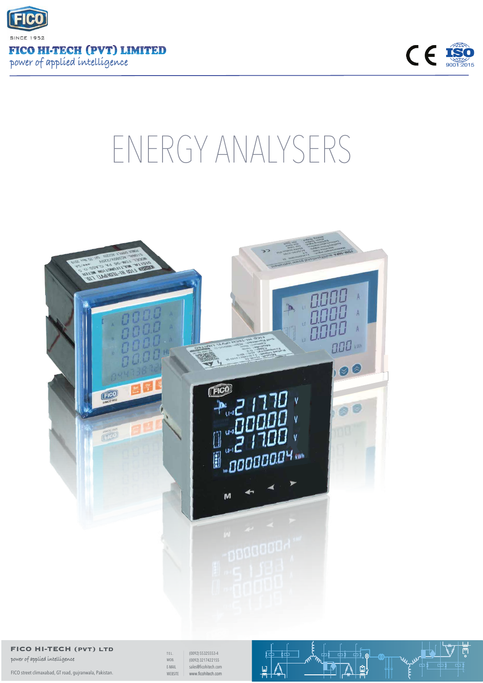



## ENERGY ANALYSERS



## **FICO HI-TECH (pvt) ltd**

power of applied intelligence

FICO street climaxabad, GT road, gujranwala, Pakistan.

TEL. (0092) 55325553-4<br>MOB. (0092) 3217422155 MOB. sales@ficohitech.com www.ficohitech.com E-MAIL WEBSITE